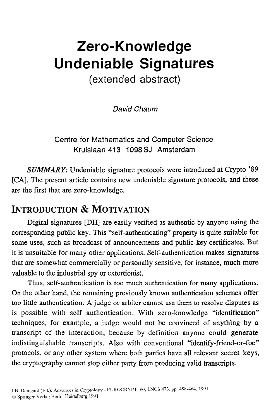# **Zero-Knowledge Undeniable Signatures**

(extended abstract)

*David Chaum* 

Centre for Mathematics and Computer Science Kruislaan 413 1098 SJ Amsterdam

*SUMMARY:* Undeniable signature protocols were introduced at Crypt0 '89 [CA]. The present article contains new undeniable signature protocols, and these are the first that are zero-knowledge.

## **INTRODUCTION & MOTIVATION**

Digital signatures [DHJ are easily verified as authentic by anyone using the corresponding public key. This "self-authenticating" property is quite suitable for some uses, such as broadcast of announcements and public-key certificates. But it is unsuitable for many other applications. Self-authentication makes signatures that are somewhat commercially or personally sensitive, for instance, much more valuable to the industrial spy or extortionist.

Thus, self-authentication is too much authentication for many applications. On the other hand, the remaining previously known authentication schemes offer too little authentication. A judge or arbiter cannot use them to resolve disputes as is possible with self authentication. With zero-knowledge "identification" techniques, for example, a judge would not be convinced of anything by a transcript of the interaction, because by definition anyone could generate indistinguishable transcripts. Also with conventional "identify-friend-or-foe" protocols, or any other system where both parties have all relevant secret keys, the cryptography cannot stop either party from producing valid transcripts.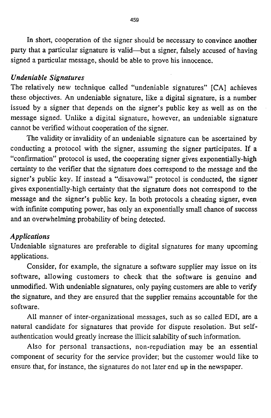In short, cooperation of the signer should be necessary to convince another party that a particular signature is valid-but a signer, falsely accused of having signed a particular message, should be able to prove his innocence.

#### *Undeniable Signatures*

The relatively new technique called "undeniable signatures" [CAI achieves these objectives. An undeniable signature, like a digital signature, is a number issued by a signer that depends on the signer's public key as well as on the message signed. Unlike a digital signature, however, an undeniable signature cannot be verified without cooperation of the signer.

The validity or invalidity of an undeniable signature can be ascertained by conducting a protocol with the signer, assuming the signer participates. If a "confirmation" protocol is used, the cooperating signer gives exponentially-high certainty to the verifier that the signature does correspond to the message and the signer's public key. If instead a "disavowal" protocol is conducted, the signer gives exponentially-high certainty that the signature does not correspond to the message and the signer's public key. In both protocols a cheating signer, even with infinite computing power, has only an exponentially small chance of success and an overwhelming probability of being detected.

#### *Applications*

Undeniable signatures are preferable to digital signatures for many upcoming applications.

Consider, for example, the signature a software supplier may issue on its software, allowing customers to check that the software is genuine and unmodified. With undeniable signatures, only paying customers are able to verify the signature, **and** they are ensured that the supplier remains accountable for the software.

All manner of inter-organizational messages, such as so called EDI, are a natural candidate for signatures that provide for dispute resolution. But selfauthentication would greatly increase the illicit salability of such information.

Also for personal transactions, non-repudiation may be an essential component of security for the service provider; but the customer would like to ensure that, for instance, the signatures do not later end up in the newspaper.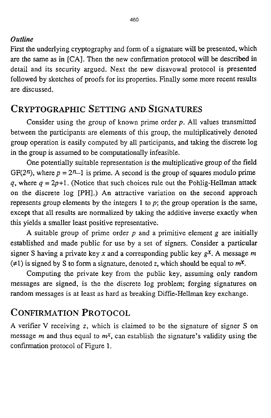#### *Outline*

First the underlying cryptography and form of a signature will be presented, which are the same as in **[CAI.** Then the new confirmation protocol will be described in detail and its security argued. Next the new disavowal protocol is presented followed by sketches of proofs for its properties. Finally some more recent results are discussed.

#### **CRYPTOGRAPHIC SETTING AND SIGNATURES**

Consider using the group of known prime order *p.* All values transmitted between the participants are elements of this group, the multiplicatively denoted group operation is easily computed by all participants, and taking the discrete log in the group is assumed to be computationally infeasible.

One potentially suitable representation is the multiplicative group of the field GF(2n), where  $p = 2n - 1$  is prime. A second is the group of squares modulo prime  $q$ , where  $q = 2p+1$ . (Notice that such choices rule out the Pohlig-Hellman attack on the discrete log [PH].) **An** attractive variation on the second approach represents group elements by the integers 1 to *p;* the group operation is the same, except that all results are normalized by taking the additive inverse exactly when this yields a smaller least positive representative.

**A** suitable group of prime order *p* and a primitive element **g** are initially established and made public for use by a set of signers. Consider a particular signer S having a private key x and a corresponding public key  $g^{\chi}$ . A message m  $(\neq 1)$  is signed by *S* to form a signature, denoted *z*, which should be equal to  $m^{\chi}$ .

Computing the private key from the public key, assuming only random messages are signed, is the the discrete log problem; forging signatures on random messages is at least as hard as breaking Diffie-Hellman key exchange.

#### **CONFIRMATION PROTOCOL**

A verifier V receiving z, which is claimed to be the signature of signer S on message *m* and thus equal to  $m<sup>x</sup>$ , can establish the signature's validity using the confirmation protocol of Figure 1.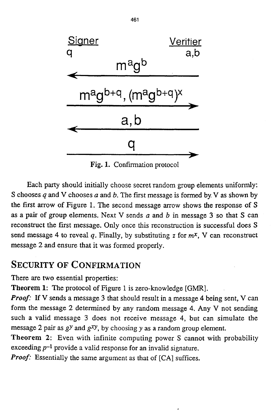

**Fig. 1.** Confirmation protocol

Each party should initially choose secret random group elements uniformly: *<sup>S</sup>*chooses *q* and V chooses *a* and *b.* The first message is formed by. V as shown by the first **arrow** of Figure 1. The second message arrow shows the response of S as **a pair of** group elements. Next V sends *a* and *b* in message **3** so that *S* can reconstruct the first message. Only once this reconstruction is successful does **S**  send message 4 to reveal  $q$ . Finally, by substituting z for  $m^2$ , V can reconstruct message 2 **and** ensure that it was formed properly.

#### **SECURITY OF CONFIRMATION**

There are two essential properties:

**Theorem 1:** The protocol **of** Figure 1 is zero-knowledge [GMR].

*Proof:* If V sends a message **3** that should result in a message **4** being sent, V can form the message *2* determined by any random message **4.** Any V not sending such a valid message 3 does not receive message **4,** but can simulate the message 2 pair as  $g<sup>y</sup>$  and  $g<sup>xy</sup>$ , by choosing y as a random group element.

**Theorem 2:** Even with infinite computing power *S* cannot with probability exceeding *p-1* provide a valid response for an invalid signature.

*Proof:* Essentially the same argument as that of [CA] suffices.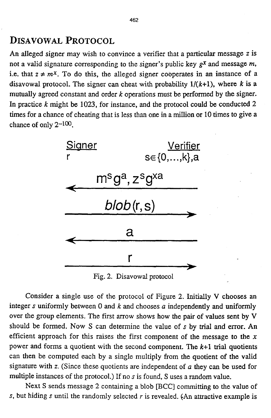#### **DISAVOWAL PROTOCOL**

**An** alleged signer may wish to convince a verifier that a particular message z is not a valid signature corresponding to the signer's public key *gx* and message *m,*  i.e. that  $z \neq m^x$ . To do this, the alleged signer cooperates in an instance of a disavowal protocol. The signer can cheat with probability  $1/(k+1)$ , where *k* is a mutually agreed constant and order *k* operations must be **performed** by the signer. In practice *k* might be 1023, for instance, and the protocol could be conducted 2 times for a chance of cheating that is less than one in a million or 10 times to give a chance of only **2-10.** 



**Fig.** 2. Disavowal protocol

Consider **a** single use of the protocol of Figure 2. Initially V chooses an integer s uniformly between 0 and *k* and chooses *u* independently **and** uniformly over the group elements. The first arrow shows how the pair of values sent by V should be formed. Now *S* can determine the value of **s** by trial and **error. An**  efficient approach for this raises the first component of the message to the *x*  power and forms a quotient with the second component. The **k+l** trial quotients can then be computed each by **a** single multiply from the quotient of the valid signature with z. (Since these quotients are independent of *u* they can be used for multiple instances of the protocol.) If no s is found, *S* uses a random value.

Next *S* sends message *2* containing **a** blob *[BCC]* committing **to** the value of s, but hiding **s** until the randomly selected *r* is revealed. **\$An** attractive example is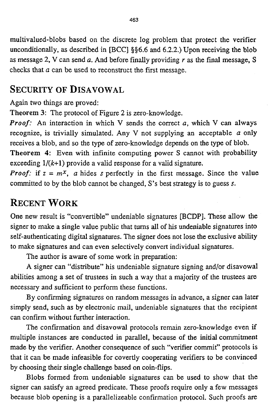multivalued-blobs based on the discrete log problem that protect the verifier unconditionally, **as** described in [BCC] *3s6.6* and *6.2.2.)* Upon receiving the blob **as** message 2, V can send *a.* And before finally providing *r* **as** the final message, *S*  checks that a **can** be used to reconstruct the first message.

## **SECURITY OF DISAVOWAL**

Again *two* things are proved:

**Theorem 3:** The protocol of Figure **2** is zero-knowledge.

*Proof:* An interaction in which V sends the correct *a,* which V can always recognize, is trivially simulated. Any V not supplying an acceptable *a* only receives a blob, and so the type of zero-knowledge depends on the type of blob.

**Theorem 4:** Even with infinite computing power *S* cannot with probability exceeding  $1/(k+1)$  provide a valid response for a valid signature.

*Proof:* if  $z = m^x$ , *a* hides *s* perfectly in the first message. Since the value committed to by the blob cannot be changed, S's best strategy is to guess  $s$ .

# **RECENT WORK**

One new result is "convertible" undeniable signatures [BCDP]. These allow the signer to make a single value public that turns all of his undeniable signatures into self-authenticating digital signatures. The signer does not lose the exclusive ability to make signatures and can even selectively convert individual signatures.

The author is aware of some work in preparation:

A signer can "distribute" his undeniable signature signing and/or disavowal abilities among a set of trustees in such a way that a majority of the trustees are necessary and sufficient to perform these functions.

By confirming signatures on random messages in advance, a signer can later simply send, such as by electronic mail, undeniable signatures that the recipient can confirm without further interaction.

The confirmation and disavowal protocols remain zero-knowledge even if multiple instances are conducted in parallel, because of the initial commitment made by the verifier. Another consequence of such "verifier commit" protocols is that it can be made infeasible for covertly cooperating verifiers to be convinced by choosing their single challenge based on coin-flips.

Blobs formed from undeniable signatures can be **used** to show that the signer can satisfy an agreed predicate. These proofs require only a few messages because blob opening **is** a parallelizeable confirmation protocol. Such proofs are